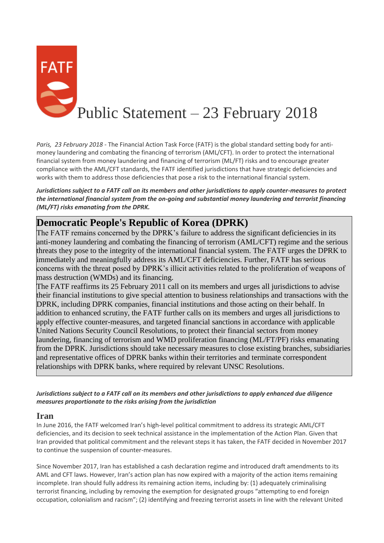

*Paris, 23 February 2018 -* The Financial Action Task Force (FATF) is the global standard setting body for antimoney laundering and combating the financing of terrorism (AML/CFT). In order to protect the international financial system from money laundering and financing of terrorism (ML/FT) risks and to encourage greater compliance with the AML/CFT standards, the FATF identified jurisdictions that have strategic deficiencies and works with them to address those deficiencies that pose a risk to the international financial system.

*Jurisdictions subject to a FATF call on its members and other jurisdictions to apply counter-measures to protect the international financial system from the on-going and substantial money laundering and terrorist financing (ML/FT) risks emanating from the DPRK.*

## **Democratic People's Republic of Korea (DPRK)**

The FATF remains concerned by the DPRK's failure to address the significant deficiencies in its anti-money laundering and combating the financing of terrorism (AML/CFT) regime and the serious threats they pose to the integrity of the international financial system. The FATF urges the DPRK to immediately and meaningfully address its AML/CFT deficiencies. Further, FATF has serious concerns with the threat posed by DPRK's illicit activities related to the proliferation of weapons of mass destruction (WMDs) and its financing.

The FATF reaffirms its 25 February 2011 call on its members and urges all jurisdictions to advise their financial institutions to give special attention to business relationships and transactions with the DPRK, including DPRK companies, financial institutions and those acting on their behalf. In addition to enhanced scrutiny, the FATF further calls on its members and urges all jurisdictions to apply effective counter-measures, and targeted financial sanctions in accordance with applicable United Nations Security Council Resolutions, to protect their financial sectors from money laundering, financing of terrorism and WMD proliferation financing (ML/FT/PF) risks emanating from the DPRK. Jurisdictions should take necessary measures to close existing branches, subsidiaries and representative offices of DPRK banks within their territories and terminate correspondent relationships with DPRK banks, where required by relevant UNSC Resolutions.

*Jurisdictions subject to a FATF call on its members and other jurisdictions to apply enhanced due diligence measures proportionate to the risks arising from the jurisdiction*

## **Iran**

In June 2016, the FATF welcomed Iran's high-level political commitment to address its strategic AML/CFT deficiencies, and its decision to seek technical assistance in the implementation of the Action Plan. Given that Iran provided that political commitment and the relevant steps it has taken, the FATF decided in November 2017 to continue the suspension of counter-measures.

Since November 2017, Iran has established a cash declaration regime and introduced draft amendments to its AML and CFT laws. However, Iran's action plan has now expired with a majority of the action items remaining incomplete. Iran should fully address its remaining action items, including by: (1) adequately criminalising terrorist financing, including by removing the exemption for designated groups "attempting to end foreign occupation, colonialism and racism"; (2) identifying and freezing terrorist assets in line with the relevant United